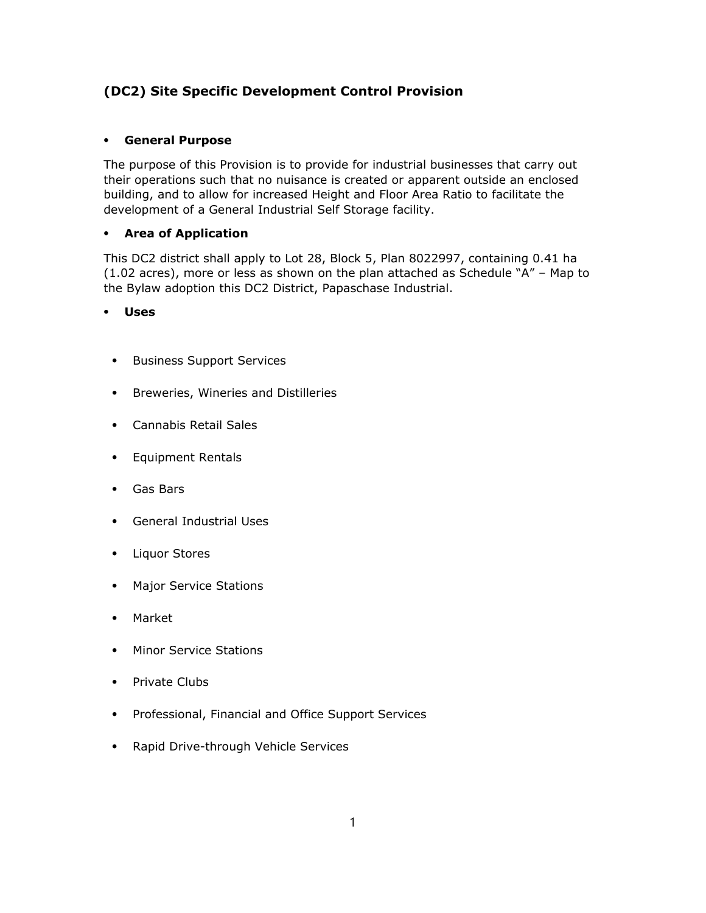## **(DC2) Site Specific Development Control Provision**

## ⦁ **General Purpose**

The purpose of this Provision is to provide for industrial businesses that carry out their operations such that no nuisance is created or apparent outside an enclosed building, and to allow for increased Height and Floor Area Ratio to facilitate the development of a General Industrial Self Storage facility.

## ⦁ **Area of Application**

This DC2 district shall apply to Lot 28, Block 5, Plan 8022997, containing 0.41 ha (1.02 acres), more or less as shown on the plan attached as Schedule "A" – Map to the Bylaw adoption this DC2 District, Papaschase Industrial.

⦁ **Uses**

- ⦁ Business Support Services
- ⦁ Breweries, Wineries and Distilleries
- ⦁ Cannabis Retail Sales
- ⦁ Equipment Rentals
- ⦁ Gas Bars
- ⦁ General Industrial Uses
- ⦁ Liquor Stores
- ⦁ Major Service Stations
- ⦁ Market
- ⦁ Minor Service Stations
- ⦁ Private Clubs
- ⦁ Professional, Financial and Office Support Services
- ⦁ Rapid Drive-through Vehicle Services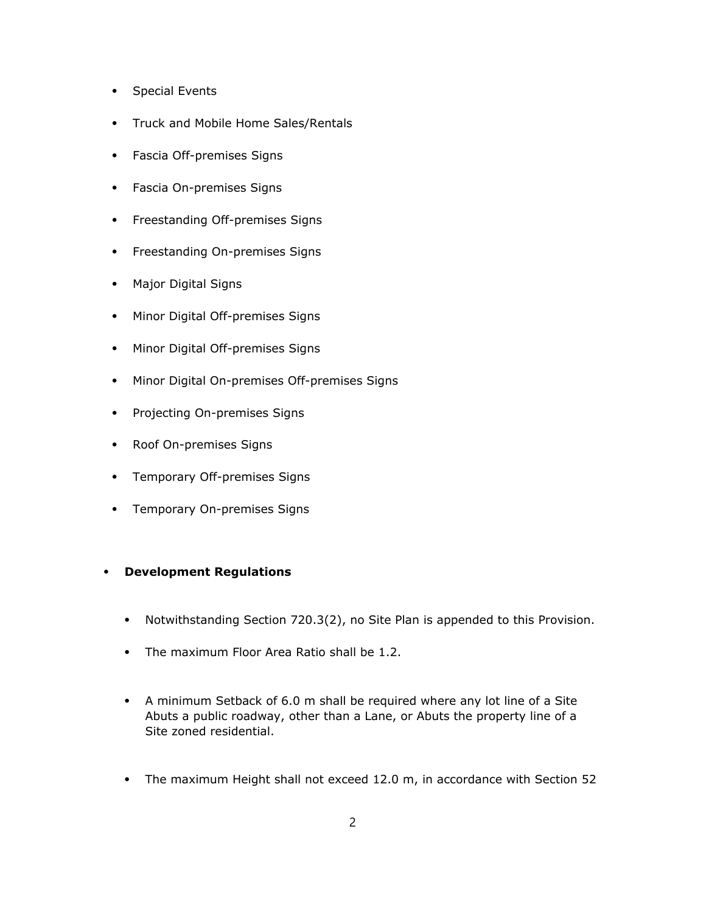- ⦁ Special Events
- ⦁ Truck and Mobile Home Sales/Rentals
- ⦁ Fascia Off-premises Signs
- ⦁ Fascia On-premises Signs
- ⦁ Freestanding Off-premises Signs
- ⦁ Freestanding On-premises Signs
- ⦁ Major Digital Signs
- ⦁ Minor Digital Off-premises Signs
- ⦁ Minor Digital Off-premises Signs
- ⦁ Minor Digital On-premises Off-premises Signs
- ⦁ Projecting On-premises Signs
- ⦁ Roof On-premises Signs
- ⦁ Temporary Off-premises Signs
- ⦁ Temporary On-premises Signs

## ⦁ **Development Regulations**

- ⦁ Notwithstanding Section 720.3(2), no Site Plan is appended to this Provision.
- ⦁ The maximum Floor Area Ratio shall be 1.2.
- ⦁ A minimum Setback of 6.0 m shall be required where any lot line of a Site Abuts a public roadway, other than a Lane, or Abuts the property line of a Site zoned residential.
- ⦁ The maximum Height shall not exceed 12.0 m, in accordance with Section 52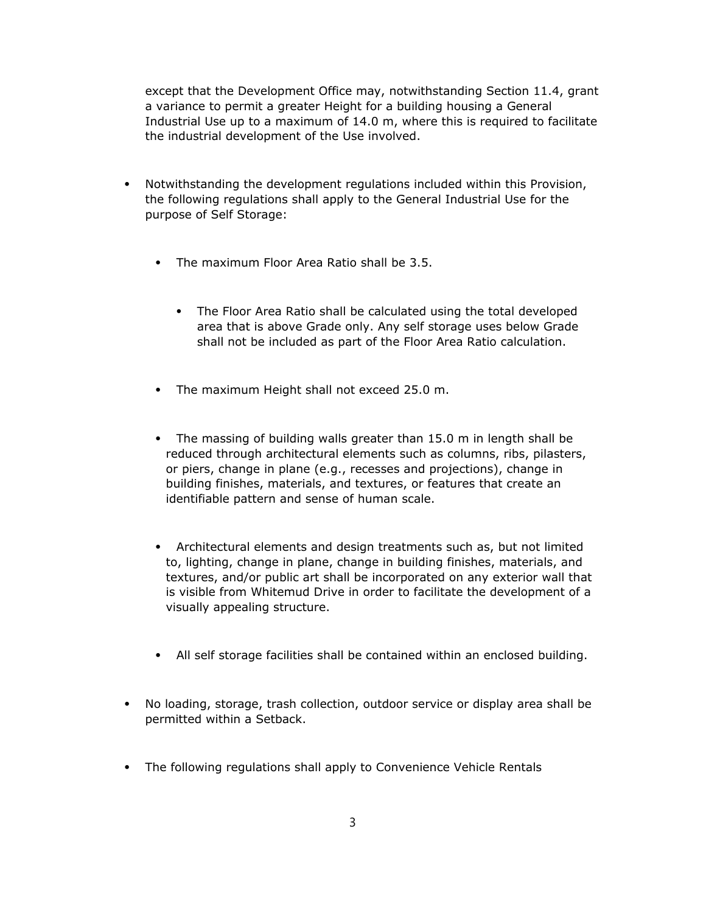except that the Development Office may, notwithstanding Section 11.4, grant a variance to permit a greater Height for a building housing a General Industrial Use up to a maximum of 14.0 m, where this is required to facilitate the industrial development of the Use involved.

- ⦁ Notwithstanding the development regulations included within this Provision, the following regulations shall apply to the General Industrial Use for the purpose of Self Storage:
	- ⦁ The maximum Floor Area Ratio shall be 3.5.
		- ⦁ The Floor Area Ratio shall be calculated using the total developed area that is above Grade only. Any self storage uses below Grade shall not be included as part of the Floor Area Ratio calculation.
	- ⦁ The maximum Height shall not exceed 25.0 m.
	- ⦁ The massing of building walls greater than 15.0 m in length shall be reduced through architectural elements such as columns, ribs, pilasters, or piers, change in plane (e.g., recesses and projections), change in building finishes, materials, and textures, or features that create an identifiable pattern and sense of human scale.
	- ⦁ Architectural elements and design treatments such as, but not limited to, lighting, change in plane, change in building finishes, materials, and textures, and/or public art shall be incorporated on any exterior wall that is visible from Whitemud Drive in order to facilitate the development of a visually appealing structure.
	- ⦁ All self storage facilities shall be contained within an enclosed building.
- ⦁ No loading, storage, trash collection, outdoor service or display area shall be permitted within a Setback.
- ⦁ The following regulations shall apply to Convenience Vehicle Rentals